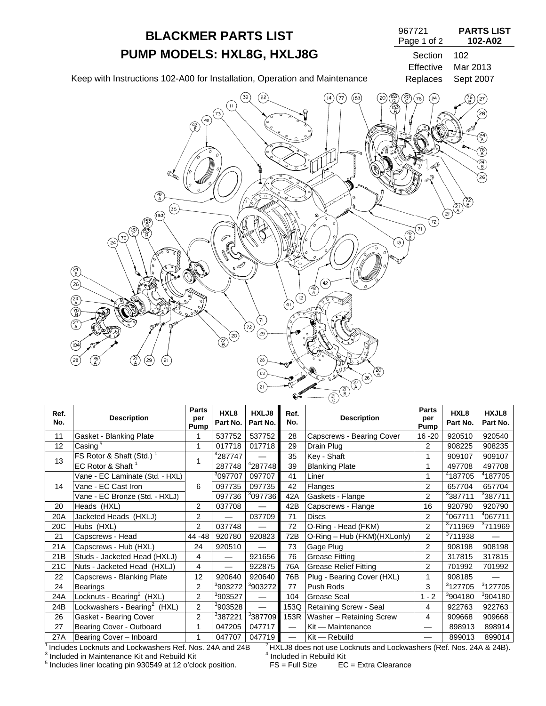

| Ref.<br>No. | <b>Description</b>                       | <b>Parts</b><br>per<br>Pump | HXL <sub>8</sub><br>Part No. | HXLJ8<br>Part No.        | Ref.<br>No.              | <b>Description</b>           | <b>Parts</b><br>per<br>Pump | HXL8<br>Part No.    | HXJL8<br>Part No.   |
|-------------|------------------------------------------|-----------------------------|------------------------------|--------------------------|--------------------------|------------------------------|-----------------------------|---------------------|---------------------|
| 11          | Gasket - Blanking Plate                  |                             | 537752                       | 537752                   | 28                       | Capscrews - Bearing Cover    | $16 - 20$                   | 920510              | 920540              |
| 12          | Casing <sup>5</sup>                      | 1                           | 017718                       | 017718                   | 29                       | Drain Plug                   | $\overline{2}$              | 908225              | 908235              |
| 13          | FS Rotor & Shaft (Std.)                  |                             | <sup>4</sup> 287747          |                          | 35                       | Key - Shaft                  |                             | 909107              | 909107              |
|             | EC Rotor & Shaft <sup>1</sup>            |                             | 287748                       | 4287748                  | 39                       | <b>Blanking Plate</b>        |                             | 497708              | 497708              |
|             | Vane - EC Laminate (Std. - HXL)          |                             | <sup>3</sup> 097707          | 097707                   | 41                       | Liner                        |                             | 4187705             | 4187705             |
| 14          | Vane - EC Cast Iron                      | 6                           | 097735                       | 097735                   | 42                       | Flanges                      | 2                           | 657704              | 657704              |
|             | Vane - EC Bronze (Std. - HXLJ)           |                             | 097736                       | <sup>3</sup> 097736      | 42A                      | Gaskets - Flange             | 2                           | <sup>3</sup> 387711 | 3387711             |
| 20          | Heads (HXL)                              | $\overline{2}$              | 037708                       | $\overline{\phantom{0}}$ | 42B                      | Capscrews - Flange           | 16                          | 920790              | 920790              |
| 20A         | Jacketed Heads (HXLJ)                    | $\overline{2}$              |                              | 037709                   | 71                       | <b>Discs</b>                 | $\overline{2}$              | <sup>4</sup> 067711 | <sup>4</sup> 067711 |
| 20C         | Hubs (HXL)                               | $\overline{2}$              | 037748                       |                          | 72                       | O-Ring - Head (FKM)          | $\overline{2}$              | 3711969             | <sup>3</sup> 711969 |
| 21          | Capscrews - Head                         | 44 - 48                     | 920780                       | 920823                   | 72B                      | O-Ring - Hub (FKM)(HXLonly)  | 2                           | <sup>3</sup> 711938 |                     |
| 21A         | Capscrews - Hub (HXL)                    | 24                          | 920510                       | $\overline{\phantom{0}}$ | 73                       | Gage Plug                    | $\overline{2}$              | 908198              | 908198              |
| 21B         | Studs - Jacketed Head (HXLJ)             | 4                           |                              | 921656                   | 76                       | <b>Grease Fitting</b>        | 2                           | 317815              | 317815              |
| 21C         | Nuts - Jacketed Head (HXLJ)              | 4                           |                              | 922875                   | 76A                      | <b>Grease Relief Fitting</b> | $\overline{2}$              | 701992              | 701992              |
| 22          | Capscrews - Blanking Plate               | 12                          | 920640                       | 920640                   | 76B                      | Plug - Bearing Cover (HXL)   |                             | 908185              |                     |
| 24          | <b>Bearings</b>                          | $\overline{2}$              | <sup>3</sup> 903272          | <sup>3</sup> 903272      | 77                       | Push Rods                    | 3                           | <sup>3</sup> 127705 | <sup>3</sup> 127705 |
| 24A         | Locknuts - Bearing <sup>2</sup> (HXL)    | 2                           | <sup>3</sup> 903527          |                          | 104                      | Grease Seal                  | $1 - 2$                     | <sup>3</sup> 904180 | <sup>3</sup> 904180 |
| 24B         | Lockwashers - Bearing <sup>2</sup> (HXL) | $\overline{2}$              | <sup>3</sup> 903528          |                          | 153Q                     | Retaining Screw - Seal       | 4                           | 922763              | 922763              |
| 26          | Gasket - Bearing Cover                   | $\overline{2}$              | <sup>3</sup> 387221          | <sup>3</sup> 387709      | 153R                     | Washer - Retaining Screw     | 4                           | 909668              | 909668              |
| 27          | Bearing Cover - Outboard                 | 1                           | 047205                       | 047717                   | $\overline{\phantom{0}}$ | Kit - Maintenance            |                             | 898913              | 898914              |
| 27A         | Bearing Cover - Inboard                  | 1                           | 047707                       | 047719                   | $\overline{\phantom{0}}$ | $Kit - Rebuild$              |                             | 899013              | 899014              |

<sup>3</sup> Included in Maintenance Kit and Rebuild Kit  $^{4}$  Included in Rebuild Kit  $^{5}$  Included in Rebuild Kit

 $5$  Includes liner locating pin 930549 at 12 o'clock position. FS = Full Size EC = Extra Clearance

 $\frac{1}{4}$  Includes Locknuts and Lockwashers Ref. Nos. 24A and 24B  $\frac{2}{4}$  HXLJ8 does not use Locknuts and Lockwashers (Ref. Nos. 24A & 24B).<br>3 Included in Maintenance Kit and Rebuild Kit  $\frac{4}{4}$  Included in Rebuild Ki